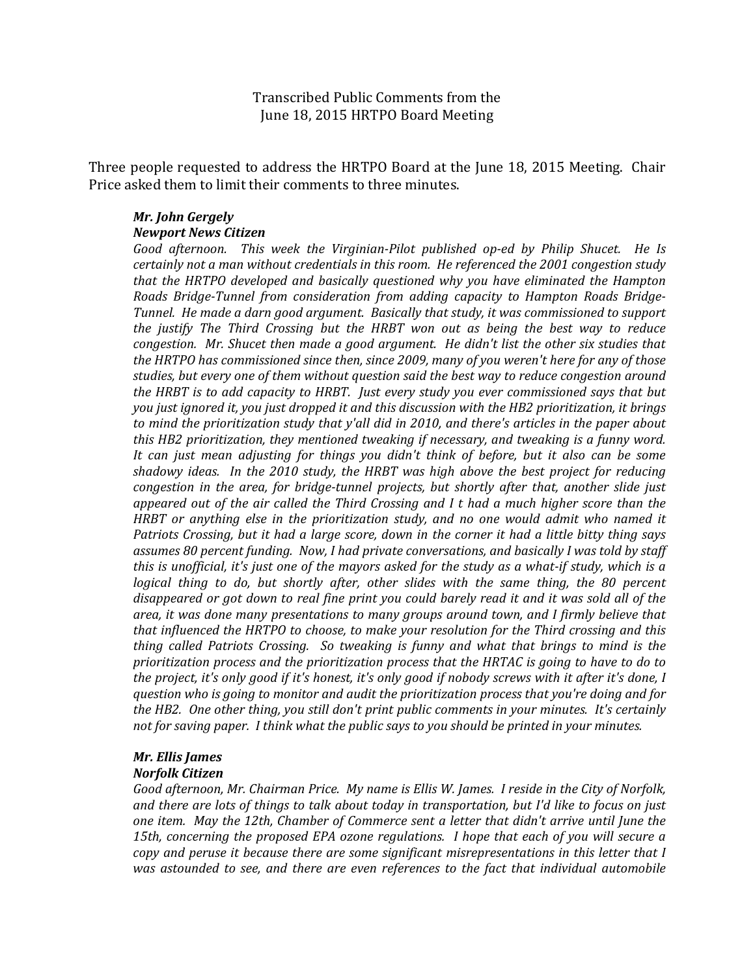Transcribed Public Comments from the June 18, 2015 HRTPO Board Meeting

Three people requested to address the HRTPO Board at the June 18, 2015 Meeting. Chair Price asked them to limit their comments to three minutes.

## *Mr. John Gergely Newport News Citizen*

*Good afternoon. This week the Virginian-Pilot published op-ed by Philip Shucet. He Is certainly not a man without credentials in this room. He referenced the 2001 congestion study that the HRTPO developed and basically questioned why you have eliminated the Hampton Roads Bridge-Tunnel from consideration from adding capacity to Hampton Roads Bridge-Tunnel. He made a darn good argument. Basically that study, it was commissioned to support the justify The Third Crossing but the HRBT won out as being the best way to reduce congestion. Mr. Shucet then made a good argument. He didn't list the other six studies that the HRTPO has commissioned since then, since 2009, many of you weren't here for any of those studies, but every one of them without question said the best way to reduce congestion around the HRBT is to add capacity to HRBT. Just every study you ever commissioned says that but you just ignored it, you just dropped it and this discussion with the HB2 prioritization, it brings to mind the prioritization study that y'all did in 2010, and there's articles in the paper about this HB2 prioritization, they mentioned tweaking if necessary, and tweaking is a funny word. It can just mean adjusting for things you didn't think of before, but it also can be some shadowy ideas. In the 2010 study, the HRBT was high above the best project for reducing congestion in the area, for bridge-tunnel projects, but shortly after that, another slide just appeared out of the air called the Third Crossing and I t had a much higher score than the HRBT or anything else in the prioritization study, and no one would admit who named it Patriots Crossing, but it had a large score, down in the corner it had a little bitty thing says assumes 80 percent funding. Now, I had private conversations, and basically I was told by staff this is unofficial, it's just one of the mayors asked for the study as a what-if study, which is a*  logical thing to do, but shortly after, other slides with the same thing, the 80 percent *disappeared or got down to real fine print you could barely read it and it was sold all of the area, it was done many presentations to many groups around town, and I firmly believe that that influenced the HRTPO to choose, to make your resolution for the Third crossing and this thing called Patriots Crossing. So tweaking is funny and what that brings to mind is the prioritization process and the prioritization process that the HRTAC is going to have to do to the project, it's only good if it's honest, it's only good if nobody screws with it after it's done, I question who is going to monitor and audit the prioritization process that you're doing and for the HB2. One other thing, you still don't print public comments in your minutes. It's certainly not for saving paper. I think what the public says to you should be printed in your minutes.*

## *Mr. Ellis James Norfolk Citizen*

*Good afternoon, Mr. Chairman Price. My name is Ellis W. James. I reside in the City of Norfolk, and there are lots of things to talk about today in transportation, but I'd like to focus on just one item. May the 12th, Chamber of Commerce sent a letter that didn't arrive until June the 15th, concerning the proposed EPA ozone regulations. I hope that each of you will secure a copy and peruse it because there are some significant misrepresentations in this letter that I was astounded to see, and there are even references to the fact that individual automobile*